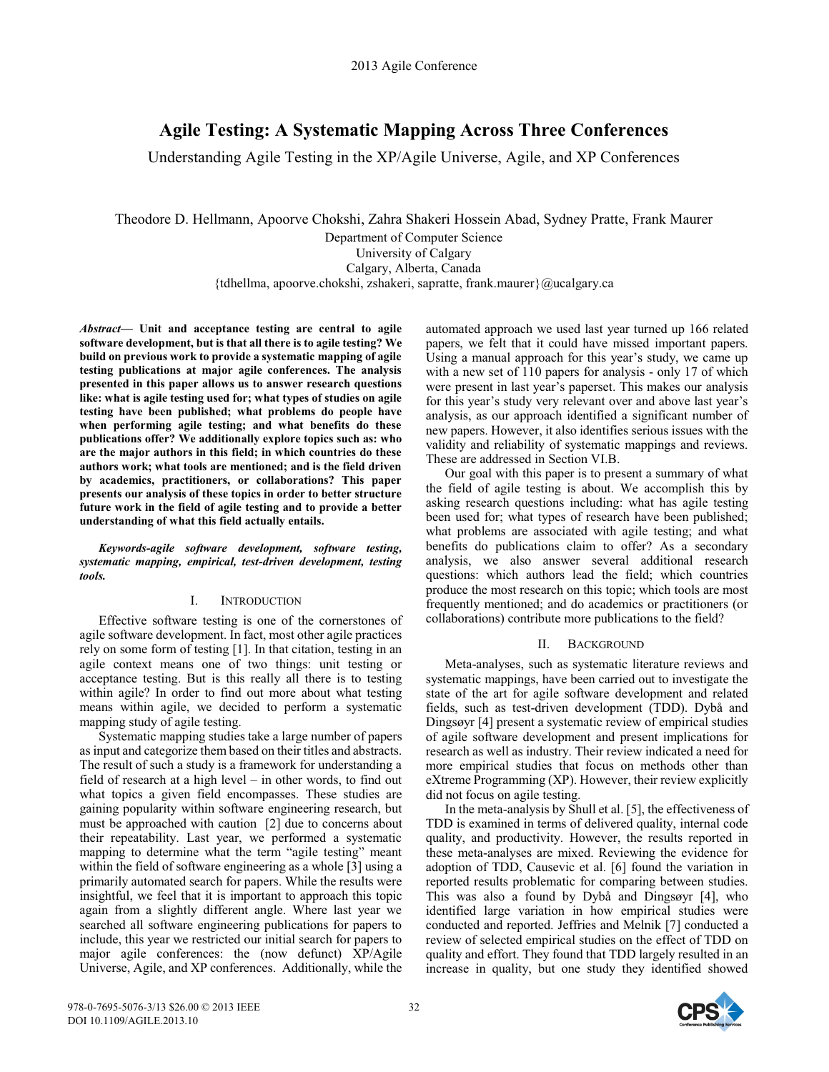# **Agile Testing: A Systematic Mapping Across Three Conferences**

Understanding Agile Testing in the XP/Agile Universe, Agile, and XP Conferences

Theodore D. Hellmann, Apoorve Chokshi, Zahra Shakeri Hossein Abad, Sydney Pratte, Frank Maurer Department of Computer Science University of Calgary Calgary, Alberta, Canada {tdhellma, apoorve.chokshi, zshakeri, sapratte, frank.maurer}@ucalgary.ca

*Abstract***— Unit and acceptance testing are central to agile software development, but is that all there is to agile testing? We build on previous work to provide a systematic mapping of agile testing publications at major agile conferences. The analysis presented in this paper allows us to answer research questions like: what is agile testing used for; what types of studies on agile testing have been published; what problems do people have when performing agile testing; and what benefits do these publications offer? We additionally explore topics such as: who are the major authors in this field; in which countries do these authors work; what tools are mentioned; and is the field driven by academics, practitioners, or collaborations? This paper presents our analysis of these topics in order to better structure future work in the field of agile testing and to provide a better understanding of what this field actually entails.** 

*Keywords-agile software development, software testing, systematic mapping, empirical, test-driven development, testing tools.* 

# I. INTRODUCTION

Effective software testing is one of the cornerstones of agile software development. In fact, most other agile practices rely on some form of testing [1]. In that citation, testing in an agile context means one of two things: unit testing or acceptance testing. But is this really all there is to testing within agile? In order to find out more about what testing means within agile, we decided to perform a systematic mapping study of agile testing.

Systematic mapping studies take a large number of papers as input and categorize them based on their titles and abstracts. The result of such a study is a framework for understanding a field of research at a high level – in other words, to find out what topics a given field encompasses. These studies are gaining popularity within software engineering research, but must be approached with caution [2] due to concerns about their repeatability. Last year, we performed a systematic mapping to determine what the term "agile testing" meant within the field of software engineering as a whole [3] using a primarily automated search for papers. While the results were insightful, we feel that it is important to approach this topic again from a slightly different angle. Where last year we searched all software engineering publications for papers to include, this year we restricted our initial search for papers to major agile conferences: the (now defunct) XP/Agile Universe, Agile, and XP conferences. Additionally, while the

automated approach we used last year turned up 166 related papers, we felt that it could have missed important papers. Using a manual approach for this year's study, we came up with a new set of 110 papers for analysis - only 17 of which were present in last year's paperset. This makes our analysis for this year's study very relevant over and above last year's analysis, as our approach identified a significant number of new papers. However, it also identifies serious issues with the validity and reliability of systematic mappings and reviews. These are addressed in Section VI.B.

Our goal with this paper is to present a summary of what the field of agile testing is about. We accomplish this by asking research questions including: what has agile testing been used for; what types of research have been published; what problems are associated with agile testing; and what benefits do publications claim to offer? As a secondary analysis, we also answer several additional research questions: which authors lead the field; which countries produce the most research on this topic; which tools are most frequently mentioned; and do academics or practitioners (or collaborations) contribute more publications to the field?

# II. BACKGROUND

Meta-analyses, such as systematic literature reviews and systematic mappings, have been carried out to investigate the state of the art for agile software development and related fields, such as test-driven development (TDD). Dybå and Dingsøyr [4] present a systematic review of empirical studies of agile software development and present implications for research as well as industry. Their review indicated a need for more empirical studies that focus on methods other than eXtreme Programming (XP). However, their review explicitly did not focus on agile testing.

In the meta-analysis by Shull et al. [5], the effectiveness of TDD is examined in terms of delivered quality, internal code quality, and productivity. However, the results reported in these meta-analyses are mixed. Reviewing the evidence for adoption of TDD, Causevic et al. [6] found the variation in reported results problematic for comparing between studies. This was also a found by Dybå and Dingsøyr [4], who identified large variation in how empirical studies were conducted and reported. Jeffries and Melnik [7] conducted a review of selected empirical studies on the effect of TDD on quality and effort. They found that TDD largely resulted in an increase in quality, but one study they identified showed

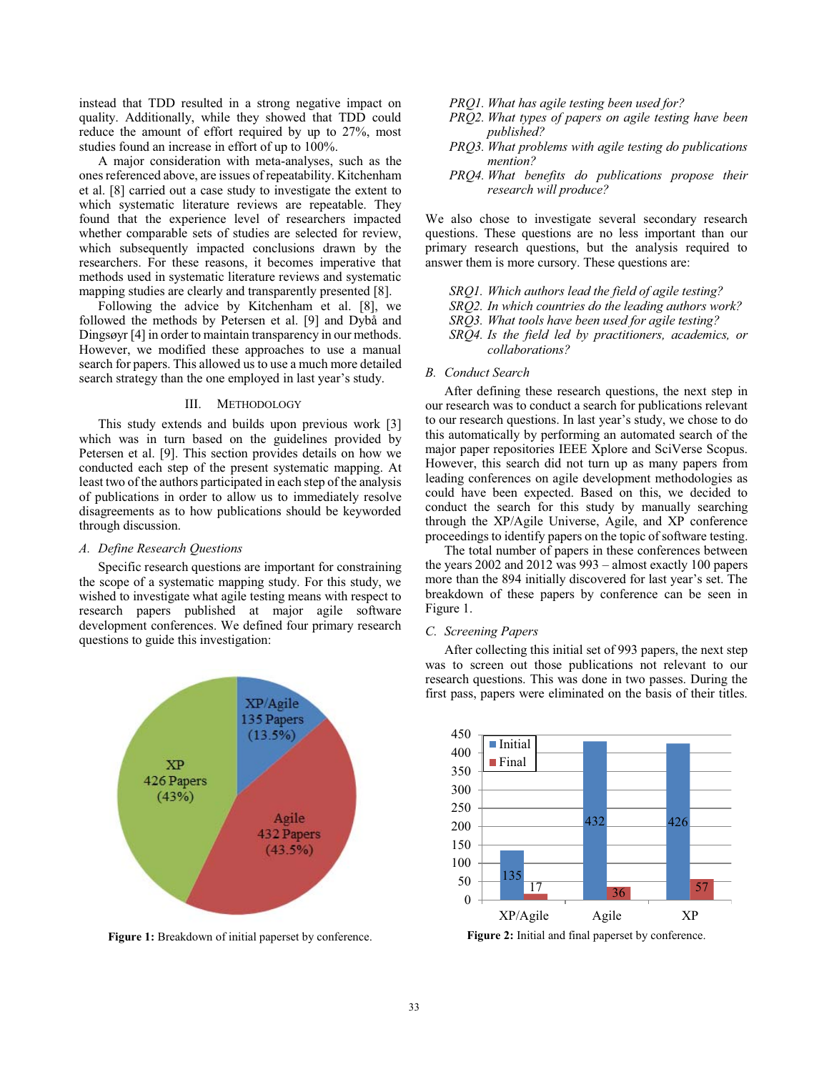instead that TDD resulted in a strong negative impact on quality. Additionally, while they showed that TDD could reduce the amount of effort required by up to 27%, most studies found an increase in effort of up to 100%.

A major consideration with meta-analyses, such as the ones referenced above, are issues of repeatability. Kitchenham et al. [8] carried out a case study to investigate the extent to which systematic literature reviews are repeatable. They found that the experience level of researchers impacted whether comparable sets of studies are selected for review, which subsequently impacted conclusions drawn by the researchers. For these reasons, it becomes imperative that methods used in systematic literature reviews and systematic mapping studies are clearly and transparently presented [8].

Following the advice by Kitchenham et al. [8], we followed the methods by Petersen et al. [9] and Dybå and Dingsøyr [4] in order to maintain transparency in our methods. However, we modified these approaches to use a manual search for papers. This allowed us to use a much more detailed search strategy than the one employed in last year's study.

## III. METHODOLOGY

This study extends and builds upon previous work [3] which was in turn based on the guidelines provided by Petersen et al. [9]. This section provides details on how we conducted each step of the present systematic mapping. At least two of the authors participated in each step of the analysis of publications in order to allow us to immediately resolve disagreements as to how publications should be keyworded through discussion.

## *A. Define Research Questions*

Specific research questions are important for constraining the scope of a systematic mapping study. For this study, we wished to investigate what agile testing means with respect to research papers published at major agile software development conferences. We defined four primary research questions to guide this investigation:



**Figure 1:** Breakdown of initial paperset by conference. **Figure 2:** Initial and final paperset by conference.

*PRQ1. What has agile testing been used for?* 

- *PRQ2. What types of papers on agile testing have been published?*
- *PRQ3. What problems with agile testing do publications mention?*
- *PRQ4. What benefits do publications propose their research will produce?*

We also chose to investigate several secondary research questions. These questions are no less important than our primary research questions, but the analysis required to answer them is more cursory. These questions are:

*SRQ1. Which authors lead the field of agile testing? SRQ2. In which countries do the leading authors work? SRQ3. What tools have been used for agile testing? SRQ4. Is the field led by practitioners, academics, or collaborations?* 

## *B. Conduct Search*

After defining these research questions, the next step in our research was to conduct a search for publications relevant to our research questions. In last year's study, we chose to do this automatically by performing an automated search of the major paper repositories IEEE Xplore and SciVerse Scopus. However, this search did not turn up as many papers from leading conferences on agile development methodologies as could have been expected. Based on this, we decided to conduct the search for this study by manually searching through the XP/Agile Universe, Agile, and XP conference proceedings to identify papers on the topic of software testing.

The total number of papers in these conferences between the years 2002 and 2012 was 993 – almost exactly 100 papers more than the 894 initially discovered for last year's set. The breakdown of these papers by conference can be seen in Figure 1.

#### *C. Screening Papers*

After collecting this initial set of 993 papers, the next step was to screen out those publications not relevant to our research questions. This was done in two passes. During the first pass, papers were eliminated on the basis of their titles.

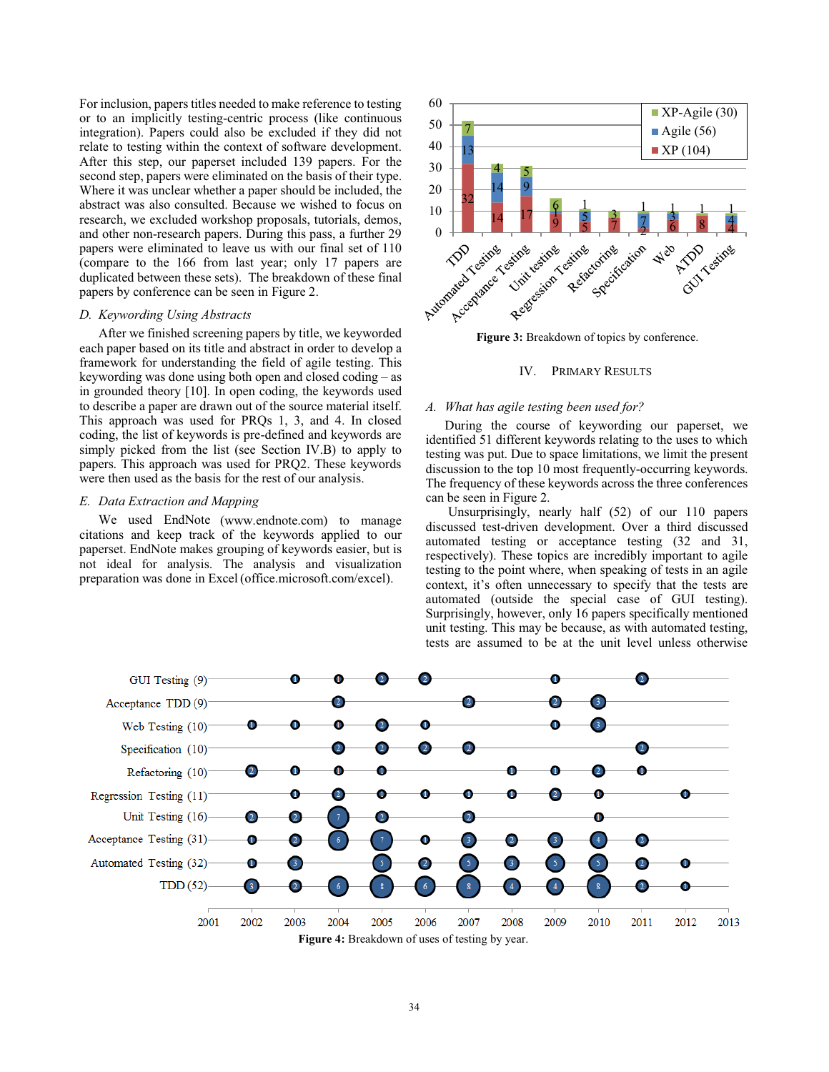For inclusion, papers titles needed to make reference to testing or to an implicitly testing-centric process (like continuous integration). Papers could also be excluded if they did not relate to testing within the context of software development. After this step, our paperset included 139 papers. For the second step, papers were eliminated on the basis of their type. Where it was unclear whether a paper should be included, the abstract was also consulted. Because we wished to focus on research, we excluded workshop proposals, tutorials, demos, and other non-research papers. During this pass, a further 29 papers were eliminated to leave us with our final set of 110 (compare to the 166 from last year; only 17 papers are duplicated between these sets). The breakdown of these final papers by conference can be seen in Figure 2.

## *D. Keywording Using Abstracts*

After we finished screening papers by title, we keyworded each paper based on its title and abstract in order to develop a framework for understanding the field of agile testing. This keywording was done using both open and closed coding – as in grounded theory [10]. In open coding, the keywords used to describe a paper are drawn out of the source material itself. This approach was used for PRQs 1, 3, and 4. In closed coding, the list of keywords is pre-defined and keywords are simply picked from the list (see Section IV.B) to apply to papers. This approach was used for PRQ2. These keywords were then used as the basis for the rest of our analysis.

## *E. Data Extraction and Mapping*

We used EndNote (www.endnote.com) to manage citations and keep track of the keywords applied to our paperset. EndNote makes grouping of keywords easier, but is not ideal for analysis. The analysis and visualization preparation was done in Excel(office.microsoft.com/excel).





#### IV. PRIMARY RESULTS

#### *A. What has agile testing been used for?*

During the course of keywording our paperset, we identified 51 different keywords relating to the uses to which testing was put. Due to space limitations, we limit the present discussion to the top 10 most frequently-occurring keywords. The frequency of these keywords across the three conferences can be seen in Figure 2.

 Unsurprisingly, nearly half (52) of our 110 papers discussed test-driven development. Over a third discussed automated testing or acceptance testing (32 and 31, respectively). These topics are incredibly important to agile testing to the point where, when speaking of tests in an agile context, it's often unnecessary to specify that the tests are automated (outside the special case of GUI testing). Surprisingly, however, only 16 papers specifically mentioned unit testing. This may be because, as with automated testing, tests are assumed to be at the unit level unless otherwise



**Figure 4:** Breakdown of uses of testing by year.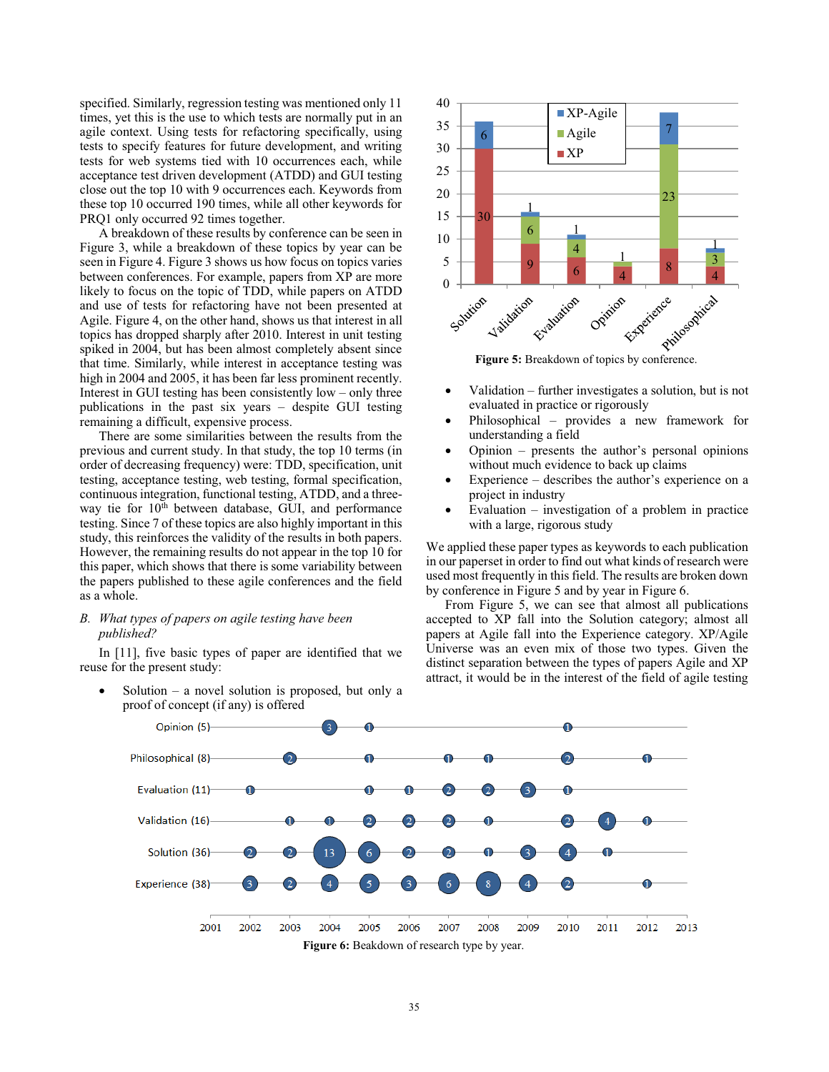specified. Similarly, regression testing was mentioned only 11 times, yet this is the use to which tests are normally put in an agile context. Using tests for refactoring specifically, using tests to specify features for future development, and writing tests for web systems tied with 10 occurrences each, while acceptance test driven development (ATDD) and GUI testing close out the top 10 with 9 occurrences each. Keywords from these top 10 occurred 190 times, while all other keywords for PRQ1 only occurred 92 times together.

A breakdown of these results by conference can be seen in Figure 3, while a breakdown of these topics by year can be seen in Figure 4. Figure 3 shows us how focus on topics varies between conferences. For example, papers from XP are more likely to focus on the topic of TDD, while papers on ATDD and use of tests for refactoring have not been presented at Agile. Figure 4, on the other hand, shows us that interest in all topics has dropped sharply after 2010. Interest in unit testing spiked in 2004, but has been almost completely absent since that time. Similarly, while interest in acceptance testing was high in 2004 and 2005, it has been far less prominent recently. Interest in GUI testing has been consistently low – only three publications in the past six years – despite GUI testing remaining a difficult, expensive process.

There are some similarities between the results from the previous and current study. In that study, the top 10 terms (in order of decreasing frequency) were: TDD, specification, unit testing, acceptance testing, web testing, formal specification, continuous integration, functional testing, ATDD, and a threeway tie for 10<sup>th</sup> between database, GUI, and performance testing. Since 7 of these topics are also highly important in this study, this reinforces the validity of the results in both papers. However, the remaining results do not appear in the top 10 for this paper, which shows that there is some variability between the papers published to these agile conferences and the field as a whole.

# *B. What types of papers on agile testing have been published?*

In [11], five basic types of paper are identified that we reuse for the present study:

> proof of concept (if any) is offered Opinion (5) Philosophical (8) Evaluation (11) Validation (16) Solution (36) Experience (38) 2001 2002 2003 2004 2005 2006 2007 2008 2009 2010 2011 2012 2013 Figure 6: Beakdown of research type by year.





- - Validation – further investigates a solution, but is not evaluated in practice or rigorously
- - Philosophical – provides a new framework for understanding a field
- - Opinion – presents the author's personal opinions without much evidence to back up claims
- - Experience – describes the author's experience on a project in industry
- - Evaluation – investigation of a problem in practice with a large, rigorous study

We applied these paper types as keywords to each publication in our paperset in order to find out what kinds of research were used most frequently in this field. The results are broken down by conference in Figure 5 and by year in Figure 6.

From Figure 5, we can see that almost all publications accepted to XP fall into the Solution category; almost all papers at Agile fall into the Experience category. XP/Agile Universe was an even mix of those two types. Given the distinct separation between the types of papers Agile and XP attract, it would be in the interest of the field of agile testing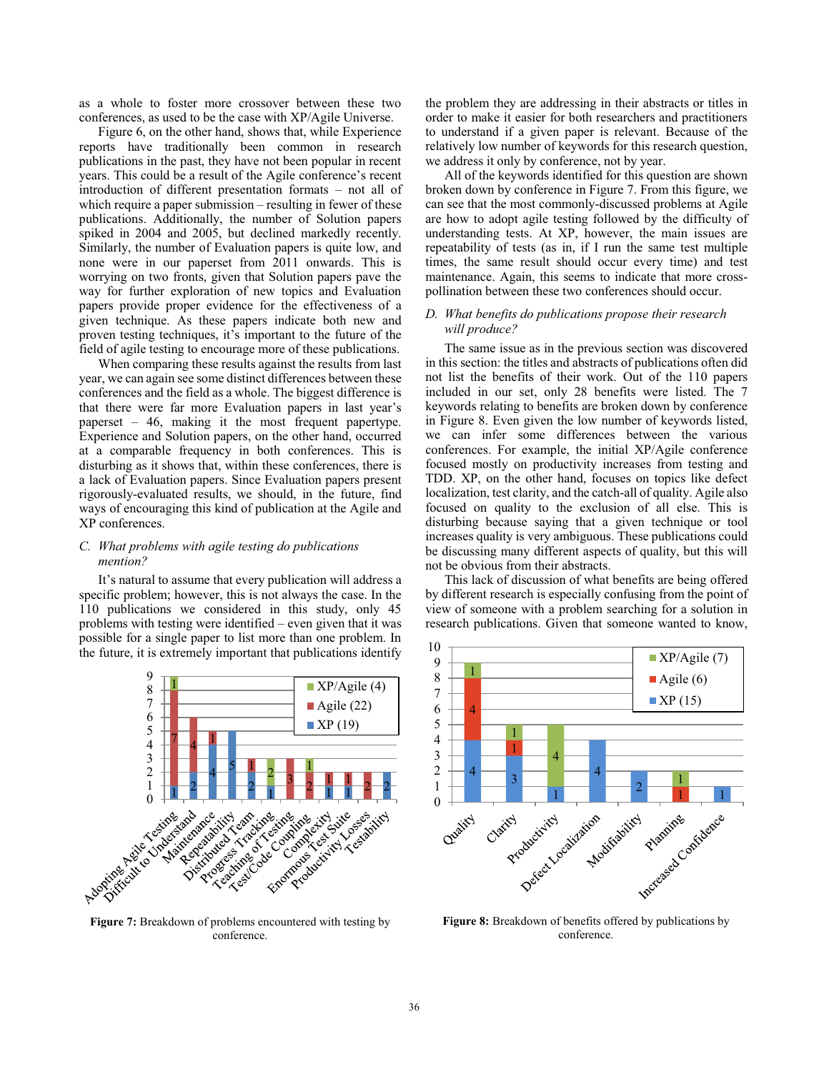as a whole to foster more crossover between these two conferences, as used to be the case with XP/Agile Universe.

Figure 6, on the other hand, shows that, while Experience reports have traditionally been common in research publications in the past, they have not been popular in recent years. This could be a result of the Agile conference's recent introduction of different presentation formats – not all of which require a paper submission – resulting in fewer of these publications. Additionally, the number of Solution papers spiked in 2004 and 2005, but declined markedly recently. Similarly, the number of Evaluation papers is quite low, and none were in our paperset from 2011 onwards. This is worrying on two fronts, given that Solution papers pave the way for further exploration of new topics and Evaluation papers provide proper evidence for the effectiveness of a given technique. As these papers indicate both new and proven testing techniques, it's important to the future of the field of agile testing to encourage more of these publications.

When comparing these results against the results from last year, we can again see some distinct differences between these conferences and the field as a whole. The biggest difference is that there were far more Evaluation papers in last year's paperset – 46, making it the most frequent papertype. Experience and Solution papers, on the other hand, occurred at a comparable frequency in both conferences. This is disturbing as it shows that, within these conferences, there is a lack of Evaluation papers. Since Evaluation papers present rigorously-evaluated results, we should, in the future, find ways of encouraging this kind of publication at the Agile and XP conferences.

## *C. What problems with agile testing do publications mention?*

It's natural to assume that every publication will address a specific problem; however, this is not always the case. In the 110 publications we considered in this study, only 45 problems with testing were identified – even given that it was possible for a single paper to list more than one problem. In the future, it is extremely important that publications identify



Figure 7: Breakdown of problems encountered with testing by conference.

the problem they are addressing in their abstracts or titles in order to make it easier for both researchers and practitioners to understand if a given paper is relevant. Because of the relatively low number of keywords for this research question, we address it only by conference, not by year.

All of the keywords identified for this question are shown broken down by conference in Figure 7. From this figure, we can see that the most commonly-discussed problems at Agile are how to adopt agile testing followed by the difficulty of understanding tests. At XP, however, the main issues are repeatability of tests (as in, if I run the same test multiple times, the same result should occur every time) and test maintenance. Again, this seems to indicate that more crosspollination between these two conferences should occur.

# *D. What benefits do publications propose their research will produce?*

The same issue as in the previous section was discovered in this section: the titles and abstracts of publications often did not list the benefits of their work. Out of the 110 papers included in our set, only 28 benefits were listed. The 7 keywords relating to benefits are broken down by conference in Figure 8. Even given the low number of keywords listed, we can infer some differences between the various conferences. For example, the initial XP/Agile conference focused mostly on productivity increases from testing and TDD. XP, on the other hand, focuses on topics like defect localization, test clarity, and the catch-all of quality. Agile also focused on quality to the exclusion of all else. This is disturbing because saying that a given technique or tool increases quality is very ambiguous. These publications could be discussing many different aspects of quality, but this will not be obvious from their abstracts.

This lack of discussion of what benefits are being offered by different research is especially confusing from the point of view of someone with a problem searching for a solution in research publications. Given that someone wanted to know,



Figure 8: Breakdown of benefits offered by publications by conference.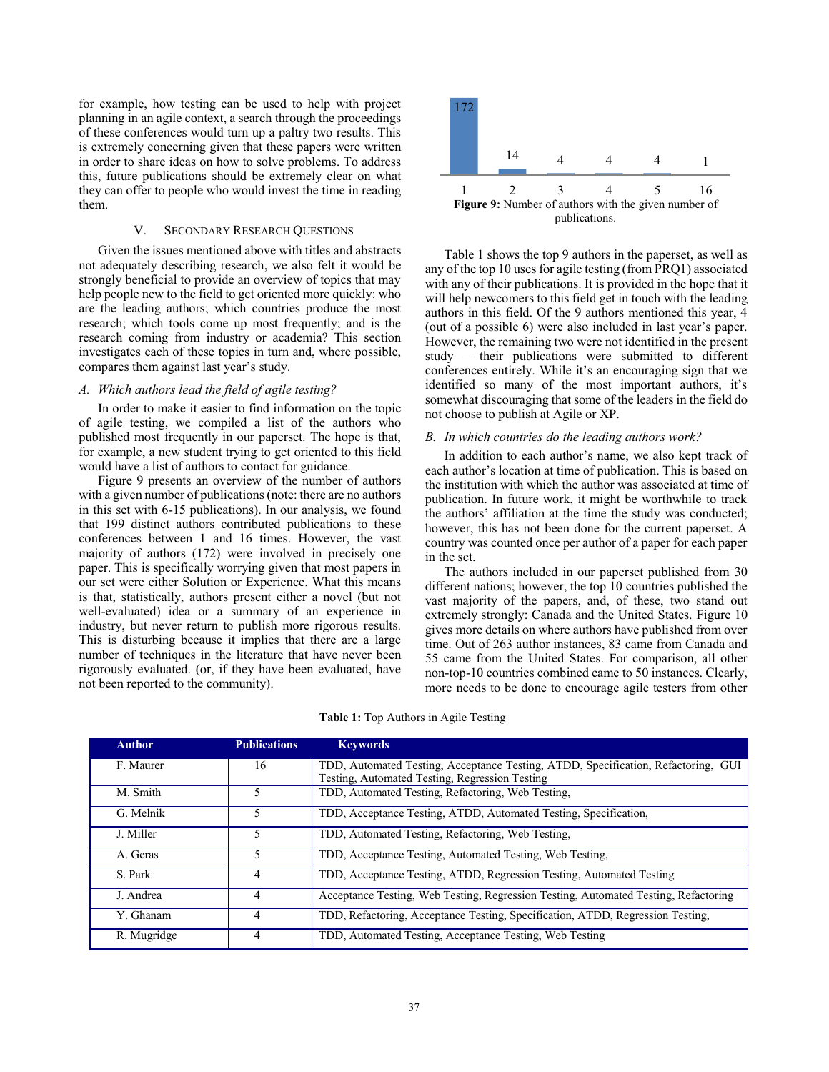for example, how testing can be used to help with project planning in an agile context, a search through the proceedings of these conferences would turn up a paltry two results. This is extremely concerning given that these papers were written in order to share ideas on how to solve problems. To address this, future publications should be extremely clear on what they can offer to people who would invest the time in reading them.

# V. SECONDARY RESEARCH QUESTIONS

Given the issues mentioned above with titles and abstracts not adequately describing research, we also felt it would be strongly beneficial to provide an overview of topics that may help people new to the field to get oriented more quickly: who are the leading authors; which countries produce the most research; which tools come up most frequently; and is the research coming from industry or academia? This section investigates each of these topics in turn and, where possible, compares them against last year's study.

## *A. Which authors lead the field of agile testing?*

In order to make it easier to find information on the topic of agile testing, we compiled a list of the authors who published most frequently in our paperset. The hope is that, for example, a new student trying to get oriented to this field would have a list of authors to contact for guidance.

Figure 9 presents an overview of the number of authors with a given number of publications (note: there are no authors in this set with 6-15 publications). In our analysis, we found that 199 distinct authors contributed publications to these conferences between 1 and 16 times. However, the vast majority of authors (172) were involved in precisely one paper. This is specifically worrying given that most papers in our set were either Solution or Experience. What this means is that, statistically, authors present either a novel (but not well-evaluated) idea or a summary of an experience in industry, but never return to publish more rigorous results. This is disturbing because it implies that there are a large number of techniques in the literature that have never been rigorously evaluated. (or, if they have been evaluated, have not been reported to the community).



Table 1 shows the top 9 authors in the paperset, as well as any of the top 10 uses for agile testing (from PRQ1) associated with any of their publications. It is provided in the hope that it will help newcomers to this field get in touch with the leading authors in this field. Of the 9 authors mentioned this year, 4 (out of a possible 6) were also included in last year's paper. However, the remaining two were not identified in the present study – their publications were submitted to different conferences entirely. While it's an encouraging sign that we identified so many of the most important authors, it's somewhat discouraging that some of the leaders in the field do not choose to publish at Agile or XP.

### *B. In which countries do the leading authors work?*

In addition to each author's name, we also kept track of each author's location at time of publication. This is based on the institution with which the author was associated at time of publication. In future work, it might be worthwhile to track the authors' affiliation at the time the study was conducted; however, this has not been done for the current paperset. A country was counted once per author of a paper for each paper in the set.

The authors included in our paperset published from 30 different nations; however, the top 10 countries published the vast majority of the papers, and, of these, two stand out extremely strongly: Canada and the United States. Figure 10 gives more details on where authors have published from over time. Out of 263 author instances, 83 came from Canada and 55 came from the United States. For comparison, all other non-top-10 countries combined came to 50 instances. Clearly, more needs to be done to encourage agile testers from other

| <b>Author</b> | <b>Publications</b> | <b>Keywords</b>                                                                                                                     |
|---------------|---------------------|-------------------------------------------------------------------------------------------------------------------------------------|
| F. Maurer     | 16                  | TDD, Automated Testing, Acceptance Testing, ATDD, Specification, Refactoring, GUI<br>Testing, Automated Testing, Regression Testing |
| M. Smith      |                     | TDD, Automated Testing, Refactoring, Web Testing,                                                                                   |
| G. Melnik     |                     | TDD, Acceptance Testing, ATDD, Automated Testing, Specification,                                                                    |
| J. Miller     |                     | TDD, Automated Testing, Refactoring, Web Testing,                                                                                   |
| A. Geras      |                     | TDD, Acceptance Testing, Automated Testing, Web Testing,                                                                            |
| S. Park       | 4                   | TDD, Acceptance Testing, ATDD, Regression Testing, Automated Testing                                                                |
| J. Andrea     | 4                   | Acceptance Testing, Web Testing, Regression Testing, Automated Testing, Refactoring                                                 |
| Y. Ghanam     |                     | TDD, Refactoring, Acceptance Testing, Specification, ATDD, Regression Testing,                                                      |
| R. Mugridge   |                     | TDD, Automated Testing, Acceptance Testing, Web Testing                                                                             |

## **Table 1:** Top Authors in Agile Testing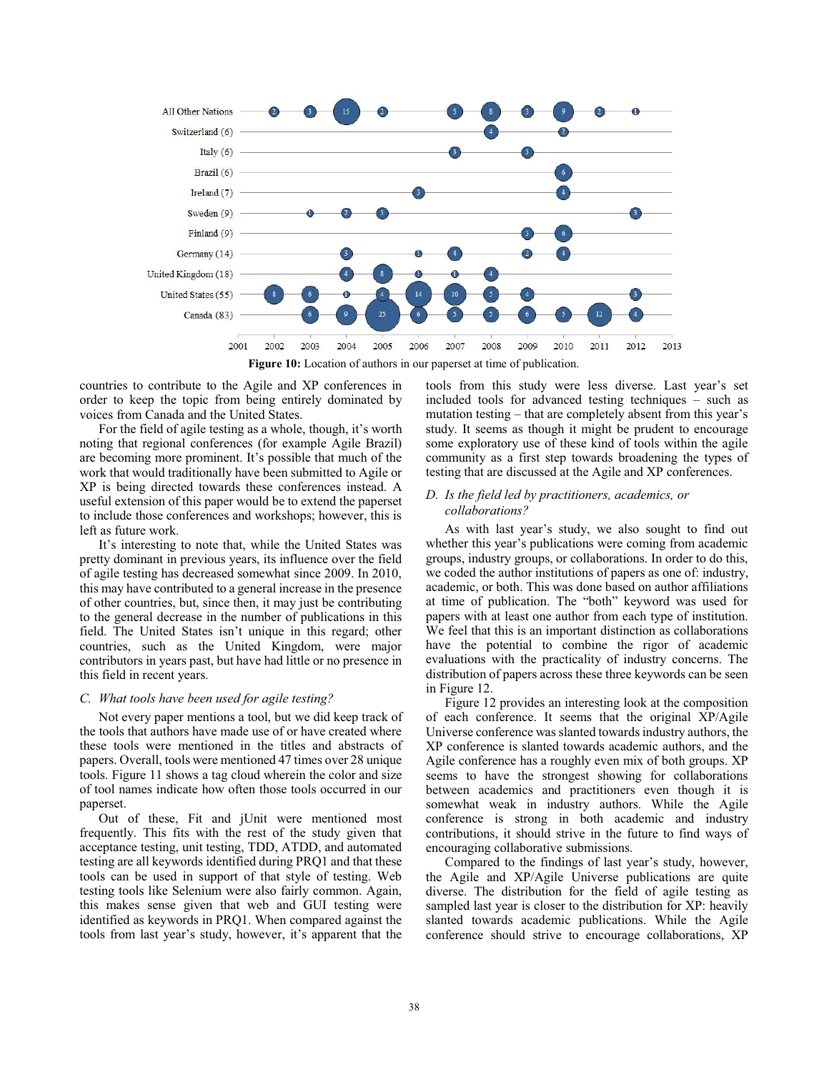

**Figure 10:** Location of authors in our paperset at time of publication.

countries to contribute to the Agile and XP conferences in order to keep the topic from being entirely dominated by voices from Canada and the United States.

For the field of agile testing as a whole, though, it's worth noting that regional conferences (for example Agile Brazil) are becoming more prominent. It's possible that much of the work that would traditionally have been submitted to Agile or XP is being directed towards these conferences instead. A useful extension of this paper would be to extend the paperset to include those conferences and workshops; however, this is left as future work.

It's interesting to note that, while the United States was pretty dominant in previous years, its influence over the field of agile testing has decreased somewhat since 2009. In 2010, this may have contributed to a general increase in the presence of other countries, but, since then, it may just be contributing to the general decrease in the number of publications in this field. The United States isn't unique in this regard; other countries, such as the United Kingdom, were major contributors in years past, but have had little or no presence in this field in recent years.

## *C. What tools have been used for agile testing?*

Not every paper mentions a tool, but we did keep track of the tools that authors have made use of or have created where these tools were mentioned in the titles and abstracts of papers. Overall, tools were mentioned 47 times over 28 unique tools. Figure 11 shows a tag cloud wherein the color and size of tool names indicate how often those tools occurred in our paperset.

Out of these, Fit and jUnit were mentioned most frequently. This fits with the rest of the study given that acceptance testing, unit testing, TDD, ATDD, and automated testing are all keywords identified during PRQ1 and that these tools can be used in support of that style of testing. Web testing tools like Selenium were also fairly common. Again, this makes sense given that web and GUI testing were identified as keywords in PRQ1. When compared against the tools from last year's study, however, it's apparent that the tools from this study were less diverse. Last year's set included tools for advanced testing techniques – such as mutation testing – that are completely absent from this year's study. It seems as though it might be prudent to encourage some exploratory use of these kind of tools within the agile community as a first step towards broadening the types of testing that are discussed at the Agile and XP conferences.

## *D. Is the field led by practitioners, academics, or collaborations?*

As with last year's study, we also sought to find out whether this year's publications were coming from academic groups, industry groups, or collaborations. In order to do this, we coded the author institutions of papers as one of: industry, academic, or both. This was done based on author affiliations at time of publication. The "both" keyword was used for papers with at least one author from each type of institution. We feel that this is an important distinction as collaborations have the potential to combine the rigor of academic evaluations with the practicality of industry concerns. The distribution of papers across these three keywords can be seen in Figure 12.

Figure 12 provides an interesting look at the composition of each conference. It seems that the original XP/Agile Universe conference was slanted towards industry authors, the XP conference is slanted towards academic authors, and the Agile conference has a roughly even mix of both groups. XP seems to have the strongest showing for collaborations between academics and practitioners even though it is somewhat weak in industry authors. While the Agile conference is strong in both academic and industry contributions, it should strive in the future to find ways of encouraging collaborative submissions.

Compared to the findings of last year's study, however, the Agile and XP/Agile Universe publications are quite diverse. The distribution for the field of agile testing as sampled last year is closer to the distribution for XP: heavily slanted towards academic publications. While the Agile conference should strive to encourage collaborations, XP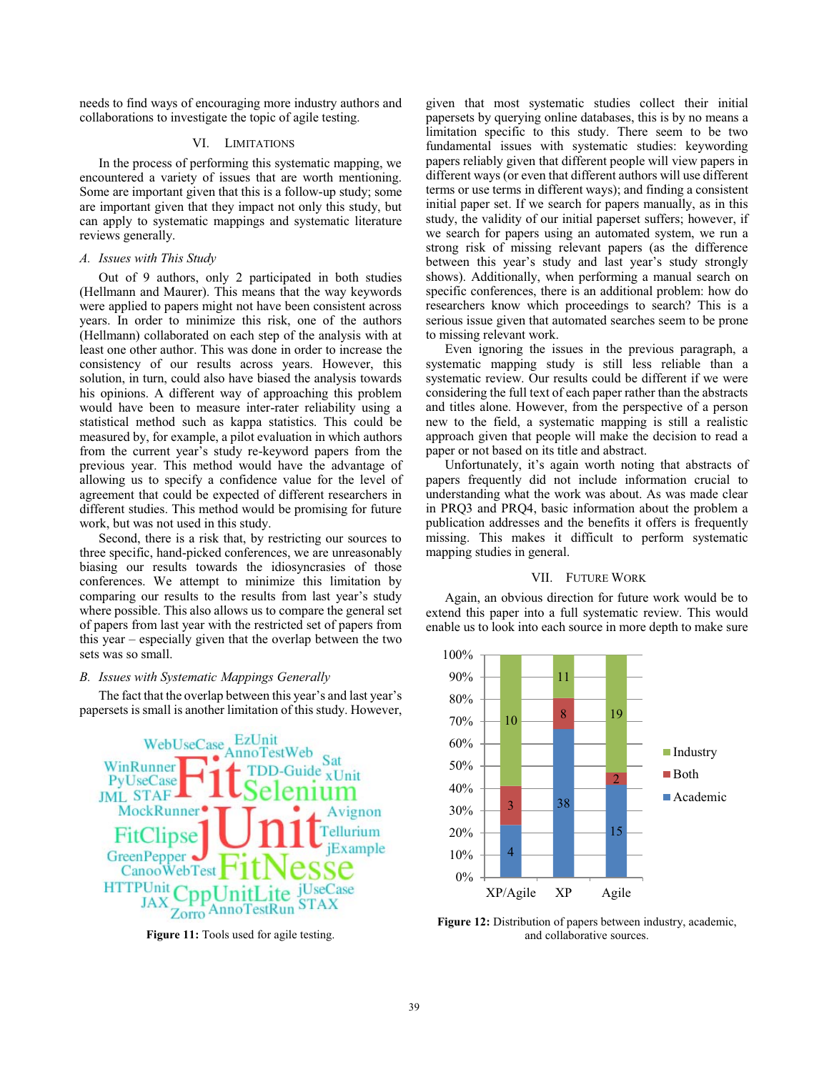needs to find ways of encouraging more industry authors and collaborations to investigate the topic of agile testing.

## VI. LIMITATIONS

In the process of performing this systematic mapping, we encountered a variety of issues that are worth mentioning. Some are important given that this is a follow-up study; some are important given that they impact not only this study, but can apply to systematic mappings and systematic literature reviews generally.

# *A. Issues with This Study*

Out of 9 authors, only 2 participated in both studies (Hellmann and Maurer). This means that the way keywords were applied to papers might not have been consistent across years. In order to minimize this risk, one of the authors (Hellmann) collaborated on each step of the analysis with at least one other author. This was done in order to increase the consistency of our results across years. However, this solution, in turn, could also have biased the analysis towards his opinions. A different way of approaching this problem would have been to measure inter-rater reliability using a statistical method such as kappa statistics. This could be measured by, for example, a pilot evaluation in which authors from the current year's study re-keyword papers from the previous year. This method would have the advantage of allowing us to specify a confidence value for the level of agreement that could be expected of different researchers in different studies. This method would be promising for future work, but was not used in this study.

Second, there is a risk that, by restricting our sources to three specific, hand-picked conferences, we are unreasonably biasing our results towards the idiosyncrasies of those conferences. We attempt to minimize this limitation by comparing our results to the results from last year's study where possible. This also allows us to compare the general set of papers from last year with the restricted set of papers from this year – especially given that the overlap between the two sets was so small.

## *B. Issues with Systematic Mappings Generally*

The fact that the overlap between this year's and last year's papersets is small is another limitation of this study. However,



given that most systematic studies collect their initial papersets by querying online databases, this is by no means a limitation specific to this study. There seem to be two fundamental issues with systematic studies: keywording papers reliably given that different people will view papers in different ways (or even that different authors will use different terms or use terms in different ways); and finding a consistent initial paper set. If we search for papers manually, as in this study, the validity of our initial paperset suffers; however, if we search for papers using an automated system, we run a strong risk of missing relevant papers (as the difference between this year's study and last year's study strongly shows). Additionally, when performing a manual search on specific conferences, there is an additional problem: how do researchers know which proceedings to search? This is a serious issue given that automated searches seem to be prone to missing relevant work.

Even ignoring the issues in the previous paragraph, a systematic mapping study is still less reliable than a systematic review. Our results could be different if we were considering the full text of each paper rather than the abstracts and titles alone. However, from the perspective of a person new to the field, a systematic mapping is still a realistic approach given that people will make the decision to read a paper or not based on its title and abstract.

Unfortunately, it's again worth noting that abstracts of papers frequently did not include information crucial to understanding what the work was about. As was made clear in PRQ3 and PRQ4, basic information about the problem a publication addresses and the benefits it offers is frequently missing. This makes it difficult to perform systematic mapping studies in general.

## VII. FUTURE WORK

Again, an obvious direction for future work would be to extend this paper into a full systematic review. This would enable us to look into each source in more depth to make sure



Figure 12: Distribution of papers between industry, academic, **Figure 11:** Tools used for agile testing. **and collaborative sources**.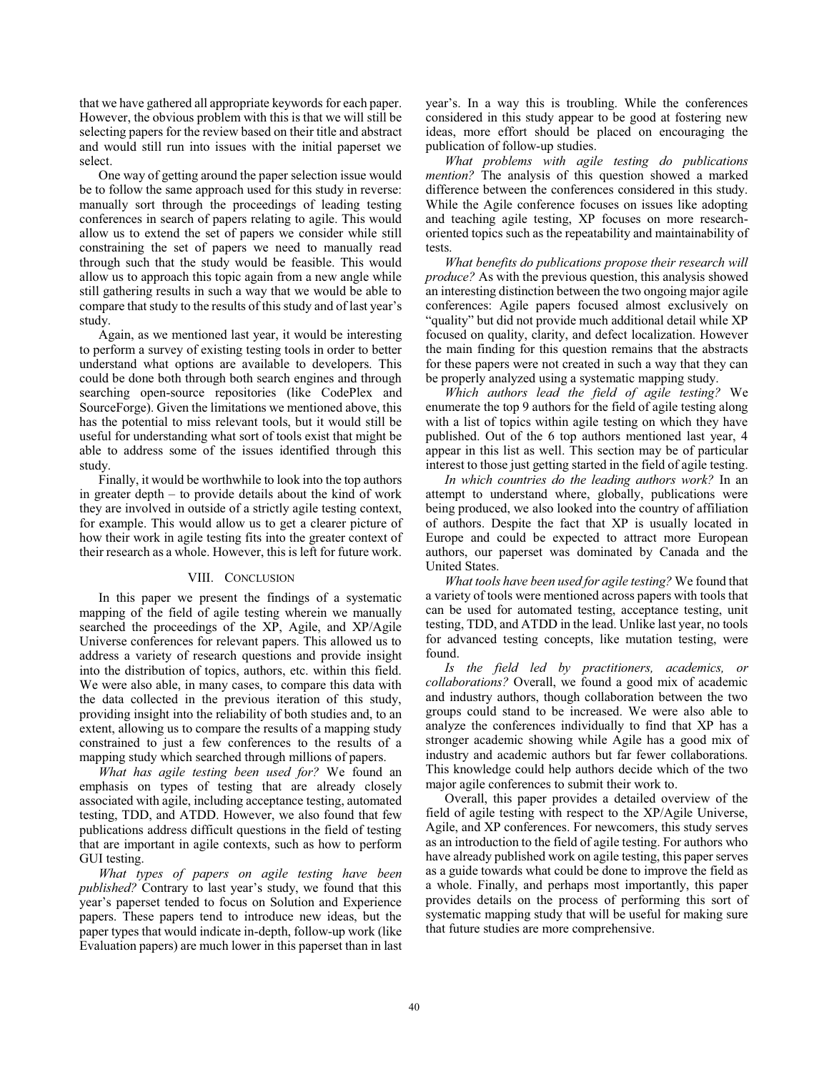that we have gathered all appropriate keywords for each paper. However, the obvious problem with this is that we will still be selecting papers for the review based on their title and abstract and would still run into issues with the initial paperset we select.

One way of getting around the paper selection issue would be to follow the same approach used for this study in reverse: manually sort through the proceedings of leading testing conferences in search of papers relating to agile. This would allow us to extend the set of papers we consider while still constraining the set of papers we need to manually read through such that the study would be feasible. This would allow us to approach this topic again from a new angle while still gathering results in such a way that we would be able to compare that study to the results of this study and of last year's study.

Again, as we mentioned last year, it would be interesting to perform a survey of existing testing tools in order to better understand what options are available to developers. This could be done both through both search engines and through searching open-source repositories (like CodePlex and SourceForge). Given the limitations we mentioned above, this has the potential to miss relevant tools, but it would still be useful for understanding what sort of tools exist that might be able to address some of the issues identified through this study.

Finally, it would be worthwhile to look into the top authors in greater depth – to provide details about the kind of work they are involved in outside of a strictly agile testing context, for example. This would allow us to get a clearer picture of how their work in agile testing fits into the greater context of their research as a whole. However, this is left for future work.

#### VIII. CONCLUSION

In this paper we present the findings of a systematic mapping of the field of agile testing wherein we manually searched the proceedings of the XP, Agile, and XP/Agile Universe conferences for relevant papers. This allowed us to address a variety of research questions and provide insight into the distribution of topics, authors, etc. within this field. We were also able, in many cases, to compare this data with the data collected in the previous iteration of this study, providing insight into the reliability of both studies and, to an extent, allowing us to compare the results of a mapping study constrained to just a few conferences to the results of a mapping study which searched through millions of papers.

*What has agile testing been used for?* We found an emphasis on types of testing that are already closely associated with agile, including acceptance testing, automated testing, TDD, and ATDD. However, we also found that few publications address difficult questions in the field of testing that are important in agile contexts, such as how to perform GUI testing.

*What types of papers on agile testing have been published?* Contrary to last year's study, we found that this year's paperset tended to focus on Solution and Experience papers. These papers tend to introduce new ideas, but the paper types that would indicate in-depth, follow-up work (like Evaluation papers) are much lower in this paperset than in last year's. In a way this is troubling. While the conferences considered in this study appear to be good at fostering new ideas, more effort should be placed on encouraging the publication of follow-up studies.

*What problems with agile testing do publications mention?* The analysis of this question showed a marked difference between the conferences considered in this study. While the Agile conference focuses on issues like adopting and teaching agile testing, XP focuses on more researchoriented topics such as the repeatability and maintainability of tests.

*What benefits do publications propose their research will produce?* As with the previous question, this analysis showed an interesting distinction between the two ongoing major agile conferences: Agile papers focused almost exclusively on "quality" but did not provide much additional detail while XP focused on quality, clarity, and defect localization. However the main finding for this question remains that the abstracts for these papers were not created in such a way that they can be properly analyzed using a systematic mapping study.

*Which authors lead the field of agile testing?* We enumerate the top 9 authors for the field of agile testing along with a list of topics within agile testing on which they have published. Out of the 6 top authors mentioned last year, 4 appear in this list as well. This section may be of particular interest to those just getting started in the field of agile testing.

*In which countries do the leading authors work?* In an attempt to understand where, globally, publications were being produced, we also looked into the country of affiliation of authors. Despite the fact that XP is usually located in Europe and could be expected to attract more European authors, our paperset was dominated by Canada and the United States.

*What tools have been used for agile testing?* We found that a variety of tools were mentioned across papers with tools that can be used for automated testing, acceptance testing, unit testing, TDD, and ATDD in the lead. Unlike last year, no tools for advanced testing concepts, like mutation testing, were found.

*Is the field led by practitioners, academics, or collaborations?* Overall, we found a good mix of academic and industry authors, though collaboration between the two groups could stand to be increased. We were also able to analyze the conferences individually to find that XP has a stronger academic showing while Agile has a good mix of industry and academic authors but far fewer collaborations. This knowledge could help authors decide which of the two major agile conferences to submit their work to.

Overall, this paper provides a detailed overview of the field of agile testing with respect to the XP/Agile Universe, Agile, and XP conferences. For newcomers, this study serves as an introduction to the field of agile testing. For authors who have already published work on agile testing, this paper serves as a guide towards what could be done to improve the field as a whole. Finally, and perhaps most importantly, this paper provides details on the process of performing this sort of systematic mapping study that will be useful for making sure that future studies are more comprehensive.